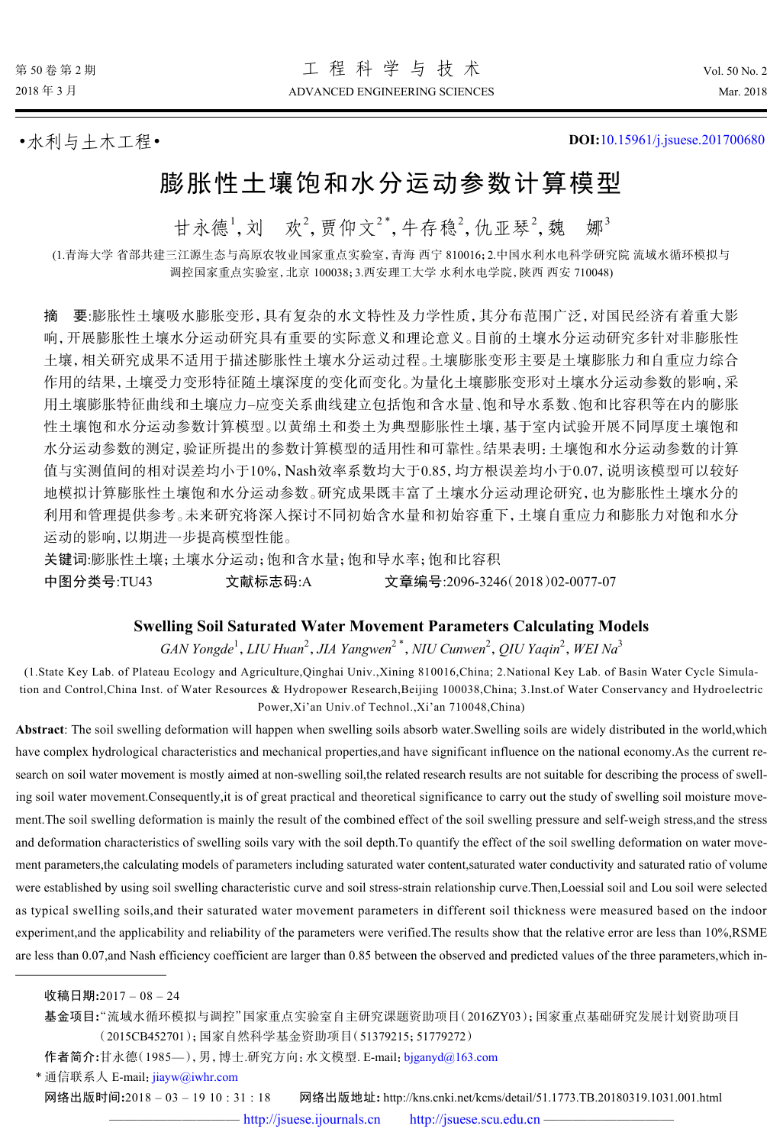•水利与土木工程• **DOI:**[10.15961/j.jsuese.201700680](http://dx.doi.org/10.15961/j.jsuese.201700680)

# 膨胀性土壤饱和水分运动参数计算模型

甘永德<sup>1</sup>, 刘 欢<sup>2</sup>, 贾仰文<sup>2\*</sup>, 牛存稳<sup>2</sup>, 仇亚琴<sup>2</sup>, 魏 娜<sup>3</sup>

(1.青海大学 省部共建三江源生态与高原农牧业国家重点实验室,青海 西宁 810016;2.中国水利水电科学研究院 流域水循环模拟与 调控国家重点实验室,北京 100038;3.西安理工大学 水利水电学院,陕西 西安 710048)

值与实测值间的相对误差均小于10%, Nash效率系数均大于0.85, 均方根误差均小于0.07, 说明该模型可以较好 摘 要:膨胀性土壤吸水膨胀变形,具有复杂的水文特性及力学性质,其分布范围广泛,对国民经济有着重大影 响,开展膨胀性土壤水分运动研究具有重要的实际意义和理论意义。目前的土壤水分运动研究多针对非膨胀性 土壤,相关研究成果不适用于描述膨胀性土壤水分运动过程。土壤膨胀变形主要是土壤膨胀力和自重应力综合 作用的结果,土壤受力变形特征随土壤深度的变化而变化。为量化土壤膨胀变形对土壤水分运动参数的影响,采 用土壤膨胀特征曲线和土壤应力–应变关系曲线建立包括饱和含水量、饱和导水系数、饱和比容积等在内的膨胀 性土壤饱和水分运动参数计算模型。以黄绵土和娄土为典型膨胀性土壤,基于室内试验开展不同厚度土壤饱和 水分运动参数的测定,验证所提出的参数计算模型的适用性和可靠性。结果表明:土壤饱和水分运动参数的计算 地模拟计算膨胀性土壤饱和水分运动参数。研究成果既丰富了土壤水分运动理论研究,也为膨胀性土壤水分的 利用和管理提供参考。未来研究将深入探讨不同初始含水量和初始容重下,土壤自重应力和膨胀力对饱和水分 运动的影响,以期进一步提高模型性能。

关键词:膨胀性土壤;土壤水分运动;饱和含水量;饱和导水率;饱和比容积

中图分类号:TU43 文献标志码:A 文章编号:2096-3246(2018)02-0077-07

#### **Swelling Soil Saturated Water Movement Parameters Calculating Models**

*GAN Yongde*<sup>1</sup> ,*LIU Huan*<sup>2</sup> ,*JIA Yangwen*<sup>2</sup> \* ,*NIU Cunwen*<sup>2</sup> ,*QIU Yaqin*<sup>2</sup> ,*WEI Na*<sup>3</sup>

(1.State Key Lab. of Plateau Ecology and Agriculture,Qinghai Univ.,Xining 810016,China; 2.National Key Lab. of Basin Water Cycle Simulation and Control,China Inst. of Water Resources & Hydropower Research,Beijing 100038,China; 3.Inst.of Water Conservancy and Hydroelectric Power,Xi'an Univ.of Technol.,Xi'an 710048,China)

**Abstract**: The soil swelling deformation will happen when swelling soils absorb water.Swelling soils are widely distributed in the world,which have complex hydrological characteristics and mechanical properties,and have significant influence on the national economy.As the current research on soil water movement is mostly aimed at non-swelling soil,the related research results are not suitable for describing the process of swelling soil water movement.Consequently,it is of great practical and theoretical significance to carry out the study of swelling soil moisture movement.The soil swelling deformation is mainly the result of the combined effect of the soil swelling pressure and self-weigh stress,and the stress and deformation characteristics of swelling soils vary with the soil depth.To quantify the effect of the soil swelling deformation on water movement parameters,the calculating models of parameters including saturated water content,saturated water conductivity and saturated ratio of volume were established by using soil swelling characteristic curve and soil stress-strain relationship curve.Then,Loessial soil and Lou soil were selected as typical swelling soils,and their saturated water movement parameters in different soil thickness were measured based on the indoor experiment,and the applicability and reliability of the parameters were verified.The results show that the relative error are less than 10%,RSME are less than 0.07, and Nash efficiency coefficient are larger than 0.85 between the observed and predicted values of the three parameters, which in-

收稿日期**:**2017 – 08 – 24

基金项目**:**"流域水循环模拟与调控"国家重点实验室自主研究课题资助项目(2016ZY03);国家重点基础研究发展计划资助项目 (2015CB452701);国家自然科学基金资助项目(51379215;51779272)

作者简介**:**甘永德(1985—),男,博士.研究方向:水文模型. E-mail:[bjganyd@163.com](mailto:bjganyd@163.com)

\* 通信联系人 E-mail: [jiayw@iwhr.com](mailto:jiayw@iwhr.com)

网络出版时间**:**2018 – 03 – 19 10 : 31 : 18 网络出版地址**:** http://kns.cnki.net/kcms/detail/51.1773.TB.20180319.1031.001.html

— <http://jsuese.ijournals.cn> <http://jsuese.scu.edu.cn> -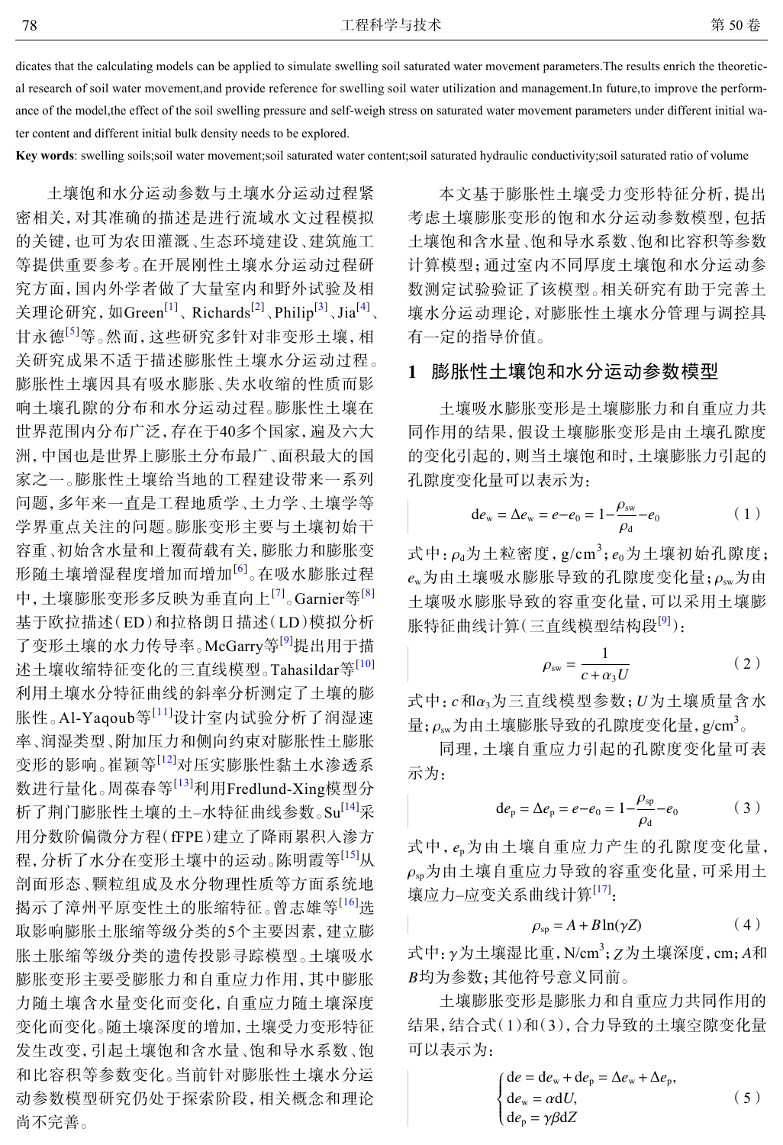dicates that the calculating models can be applied to simulate swelling soil saturated water movement parameters.The results enrich the theoretical research of soil water movement,and provide reference for swelling soil water utilization and management.In future,to improve the performance of the model,the effect of the soil swelling pressure and self-weigh stress on saturated water movement parameters under different initial water content and different initial bulk density needs to be explored.

**Key words**: swelling soils;soil water movement;soil saturated water content;soil saturated hydraulic conductivity;soil saturated ratio of volume

土壤饱和水分运动参数与土壤水分运动过程紧 密相关,对其准确的描述是进行流域水文过程模拟 的关键,也可为农田灌溉、生态环境建设、建筑施工 等提供重要参考。在开展刚性土壤水分运动过程研 究方面,国内外学者做了大量室内和野外试验及相 关理论研究, 如Green<sup>[[1](#page-6-0)]</sup>、Richards<sup>[\[2](#page-6-1)]</sup>、Philip<sup>[[3\]](#page-6-2)</sup>、Jia<sup>[[4](#page-6-3)]</sup>、 甘永德[[5](#page-6-4)]等。然而,这些研究多针对非变形土壤,相 关研究成果不适于描述膨胀性土壤水分运动过程。 膨胀性土壤因具有吸水膨胀、失水收缩的性质而影 响土壤孔隙的分布和水分运动过程。膨胀性土壤在 世界范围内分布广泛,存在于40多个国家,遍及六大 洲,中国也是世界上膨胀土分布最广、面积最大的国 家之一。膨胀性土壤给当地的工程建设带来一系列 问题,多年来一直是工程地质学、土力学、土壤学等 学界重点关注的问题。膨胀变形主要与土壤初始干 容重、初始含水量和上覆荷载有关,膨胀力和膨胀变 形随土壤增湿程度增加而增加[[6](#page-6-5)] 。在吸水膨胀过程 中,土壤膨胀变形多反映为垂直向上<sup>[[7](#page-6-6)]</sup>。Garnier等<sup>[[8\]](#page-6-7)</sup> 基于欧拉描述(ED)和拉格朗日描述(LD)模拟分析 了变形土壤的水力传导率。McGarry等[[9](#page-6-8)]提出用于描 述土壤收缩特征变化的三直线模型。Tahasildar等[\[10\]](#page-6-9) 利用土壤水分特征曲线的斜率分析测定了土壤的膨 胀性。Al-Yaqoub等[[11](#page-6-10)]设计室内试验分析了润湿速 率、润湿类型、附加压力和侧向约束对膨胀性土膨胀 变形的影响。崔颖等[[12\]](#page-6-11)对压实膨胀性黏土水渗透系 数进行量化。周葆春等[[13](#page-6-12)]利用Fredlund-Xing模型分 析了荆门膨胀性土壤的土-水特征曲线参数。Su<sup>[[14\]](#page-6-13)</sup>采 用分数阶偏微分方程(fFPE)建立了降雨累积入渗方 程,分析了水分在变形土壤中的运动。陈明霞等[[15\]](#page-6-14)从 剖面形态、颗粒组成及水分物理性质等方面系统地 揭示了漳州平原变性土的胀缩特征。曾志雄等[[16](#page-6-15)]选 取影响膨胀土胀缩等级分类的5个主要因素,建立膨 胀土胀缩等级分类的遗传投影寻踪模型。土壤吸水 膨胀变形主要受膨胀力和自重应力作用,其中膨胀 力随土壤含水量变化而变化,自重应力随土壤深度 变化而变化。随土壤深度的增加,土壤受力变形特征 发生改变,引起土壤饱和含水量、饱和导水系数、饱 和比容积等参数变化。当前针对膨胀性土壤水分运 动参数模型研究仍处于探索阶段,相关概念和理论 尚不完善。

本文基于膨胀性土壤受力变形特征分析,提出 考虑土壤膨胀变形的饱和水分运动参数模型,包括 土壤饱和含水量、饱和导水系数、饱和比容积等参数 计算模型;通过室内不同厚度土壤饱和水分运动参 数测定试验验证了该模型。相关研究有助于完善土 壤水分运动理论,对膨胀性土壤水分管理与调控具 有一定的指导价值。

## **1** 膨胀性土壤饱和水分运动参数模型

土壤吸水膨胀变形是土壤膨胀力和自重应力共 同作用的结果,假设土壤膨胀变形是由土壤孔隙度 的变化引起的,则当土壤饱和时,土壤膨胀力引起的 孔隙度变化量可以表示为:

$$
de_w = \Delta e_w = e - e_0 = 1 - \frac{\rho_{sw}}{\rho_d} - e_0 \tag{1}
$$

式中:  $\rho$ <sub>d</sub>为土粒密度, g/cm<sup>3</sup>;  $e_0$ 为土壤初始孔隙度;  $e_\mathrm{w}$ 为由土壤吸水膨胀导致的孔隙度变化量; $\rho_\mathrm{sw}$ 为由 土壤吸水膨胀导致的容重变化量,可以采用土壤膨 胀特征曲线计算(三直线模型结构段<sup>[[9](#page-6-8)]</sup>):

$$
\rho_{\rm sw} = \frac{1}{c + \alpha_3 U} \tag{2}
$$

式中:  $c$ 和 $\alpha_3$ 为三直线模型参数;  $U$ 为土壤质量含水  $\exists \pm;\rho_\text{sw}$ 为由土壤膨胀导致的孔隙度变化量, g/cm<sup>3</sup>。

同理,土壤自重应力引起的孔隙度变化量可表 示为:

$$
de_p = \Delta e_p = e - e_0 = 1 - \frac{\rho_{sp}}{\rho_d} - e_0 \tag{3}
$$

式中, ep为由土壤自重应力产生的孔隙度变化量,  $\rho_{\rm sp}$ 为由土壤自重应力导致[的](#page-6-16)容重变化量,可采用土 壤应力–应变关系曲线计算<sup>[\[17](#page-6-16)]</sup>:

$$
\rho_{\rm sp} = A + B \ln(\gamma Z) \tag{4}
$$

式中: γ为土壤湿比重, N/cm<sup>3</sup>; Z为土壤深度, cm; A和 *B* 均为参数;其他符号意义同前。

土壤膨胀变形是膨胀力和自重应力共同作用的 结果,结合式(1)和(3),合力导致的土壤空隙变化量 可以表示为:

$$
\begin{cases} de = de_w + de_p = \Delta e_w + \Delta e_p, \\ de_w = \alpha dU, \\ de_p = \gamma \beta dZ \end{cases} \tag{5}
$$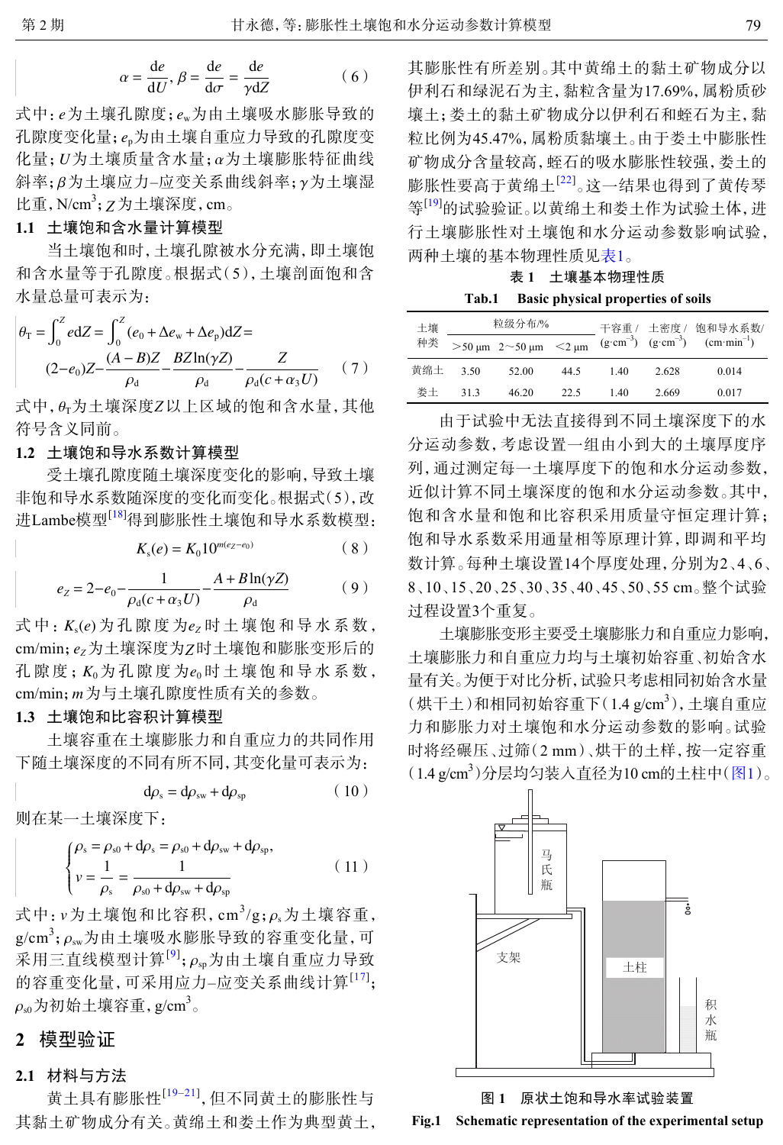$$
\alpha = \frac{\mathrm{d}e}{\mathrm{d}U}, \beta = \frac{\mathrm{d}e}{\mathrm{d}\sigma} = \frac{\mathrm{d}e}{\gamma \mathrm{d}Z} \tag{6}
$$

式中: e为土壤孔隙度; e<sub>w</sub>为由土壤吸水膨胀导致的 孔隙度变化量; e<sub>p</sub>为由土壤自重应力导致的孔隙度变 化量; *U*为土壤质量含水量; α为土壤膨胀特征曲线 斜率;β为土壤应力–应变关系曲线斜率;γ为土壤湿 比重,N/cm<sup>3</sup>;Z为土壤深度,cm。

### **1.1** 土壤饱和含水量计算模型

当土壤饱和时,土壤孔隙被水分充满,即土壤饱 和含水量等于孔隙度。根据式(5),土壤剖面饱和含 水量总量可表示为:

$$
\theta_{\rm T} = \int_0^Z e \, dZ = \int_0^Z (e_0 + \Delta e_{\rm w} + \Delta e_{\rm p}) \, dZ =
$$
\n
$$
(2 - e_0)Z - \frac{(A - B)Z}{\rho_{\rm d}} - \frac{BZ \ln(\gamma Z)}{\rho_{\rm d}} - \frac{Z}{\rho_{\rm d}(c + \alpha_3 U)} \tag{7}
$$

式中,  $\theta_\text{T}$ 为土壤深度Z以上区域的饱和含水量, 其他 符号含义同前。

## **1.2** 土壤饱和导水系数计算模型

受土壤孔隙度随土壤深度变化的影响,导致土壤 非饱和导水系数随深度的变化而变化。根据式(5),改 进Lambe模型[[18\]](#page-6-17)得到膨胀性土壤饱和导水系数模型:

$$
K_s(e) = K_0 10^{m(e_Z - e_0)}\tag{8}
$$

$$
e_Z = 2 - e_0 - \frac{1}{\rho_d (c + \alpha_3 U)} - \frac{A + B \ln(\gamma Z)}{\rho_d} \tag{9}
$$

式 中 :  $K_s$ (*e*) 为 孔 隙 度 为  $e_Z$  时 土 壤 饱 和 导 水 系 数 , *c*m/min; e<sub>z</sub>为土壤深度为Z时土壤饱和膨胀变形后的 孔 隙 度;  $K_0$  为 孔 隙 度 为  $e_0$  时 土 壤 饱 和 导 水 系 数 , cm/min; *m* 为与土壤孔隙度性质有关的参数。

## **1.3** 土壤饱和比容积计算模型

土壤容重在土壤膨胀力和自重应力的共同作用 下随土壤深度的不同有所不同,其变化量可表示为:

$$
d\rho_s = d\rho_{sw} + d\rho_{sp} \tag{10}
$$

则在某一土壤深度下:

$$
\begin{cases}\n\rho_{\rm s} = \rho_{\rm s0} + \mathrm{d}\rho_{\rm s} = \rho_{\rm s0} + \mathrm{d}\rho_{\rm sw} + \mathrm{d}\rho_{\rm sp}, \\
v = \frac{1}{\rho_{\rm s}} = \frac{1}{\rho_{\rm s0} + \mathrm{d}\rho_{\rm sw} + \mathrm{d}\rho_{\rm sp}}\n\end{cases}
$$
\n(11)

式中:  $v$ 为土壤饱和比容积, cm<sup>3</sup>/g;  $\rho_s$ 为土壤容重, g/cm<sup>3</sup>;  $\rho_\mathrm{sw}$ 为由土壤吸水膨胀导致的容重变化量, 可 采用三直线模型计算<sup>[[9](#page-6-8)]</sup>; $\rho_{\rm sp}$ 为由土壤自重应力导致  $\rho_\mathrm{\scriptscriptstyle s0}$ 为初始土壤容重,g/cm $^3$ 。 的容重变化量,可采用应力-应变关系曲线计算<sup>[[17](#page-6-16)]</sup>;

# **2** 模型验证

#### **2.1** 材料与方法

黄土具有膨胀性<sup>[[19](#page-6-18)–[21\]](#page-6-19)</sup>,但不同黄土的膨胀性与 其黏土矿物成分有关。黄绵土和娄土作为典型黄土, 其膨胀性有所差别。其中黄绵土的黏土矿物成分以 伊利石和绿泥石为主,黏粒含量为17.69%,属粉质砂 壤土;娄土的黏土矿物成分以伊利石和蛭石为主,黏 粒比例为45.47%,属粉质黏壤土。由于娄土中膨胀性 矿物成分含量较高,蛭石的吸水膨胀性较强,娄土的 膨胀性要高于黄绵土<sup>[[22](#page-6-20)]</sup>。这一结果也得到了黄传琴 等<sup>[\[19](#page-6-18)]</sup>的试验验证。以黄绵土和娄土作为试验土体,进 行土壤膨胀性对土壤饱和水分运动参数影响试验, 两种土壤的基本物理性质见表1。

## 表 **1** 土壤基本物理性质

**Tab.1 Basic physical properties of soils**

| 土壤  |      | 粒级分布/%                              |      |      |                                                               | 干容重 / 土密度 / 饱和导水系数/ |  |
|-----|------|-------------------------------------|------|------|---------------------------------------------------------------|---------------------|--|
| 种类  |      | $>$ 50 µm 2 $\sim$ 50 µm $\lt$ 2 µm |      |      | $(g \cdot cm^{-3})$ $(g \cdot cm^{-3})$ $(cm \cdot min^{-1})$ |                     |  |
| 黄绵土 | 3.50 | 52.00                               | 44.5 | 1.40 | 2.628                                                         | 0.014               |  |
| 娄土  | 313  | 46.20                               | 22.5 | 1.40 | 2.669                                                         | 0.017               |  |

由于试验中无法直接得到不同土壤深度下的水 分运动参数,考虑设置一组由小到大的土壤厚度序 列,通过测定每一土壤厚度下的饱和水分运动参数, 近似计算不同土壤深度的饱和水分运动参数。其中, 饱和含水量和饱和比容积采用质量守恒定理计算; 饱和导水系数采用通量相等原理计算,即调和平均 数计算。每种土壤设置14个厚度处理,分别为2、4、6、 8、10、15、20、25、30、35、40、45、50、55 cm。整个试验 过程设置3个重复。

土壤膨胀变形主要受土壤膨胀力和自重应力影响, 土壤膨胀力和自重应力均与土壤初始容重、初始含水 量有关。为便于对比分析,试验只考虑相同初始含水量 (烘干土)和相同初始容重下(1.4 g/cm<sup>3</sup>), 土壤自重应 力和膨胀力对土壤饱和水分运动参数的影响。试验 时将经碾压、过筛(2 mm)、烘干的土样,按一定容重 (1.4 g/cm<sup>3</sup>)分层均匀装入直径为10 cm的土柱中([图](#page-2-0)[1](#page-2-0))。

<span id="page-2-0"></span>

图 **1** 原状土饱和导水率试验装置 **Fig.1 Schematic representation of the experimental setup**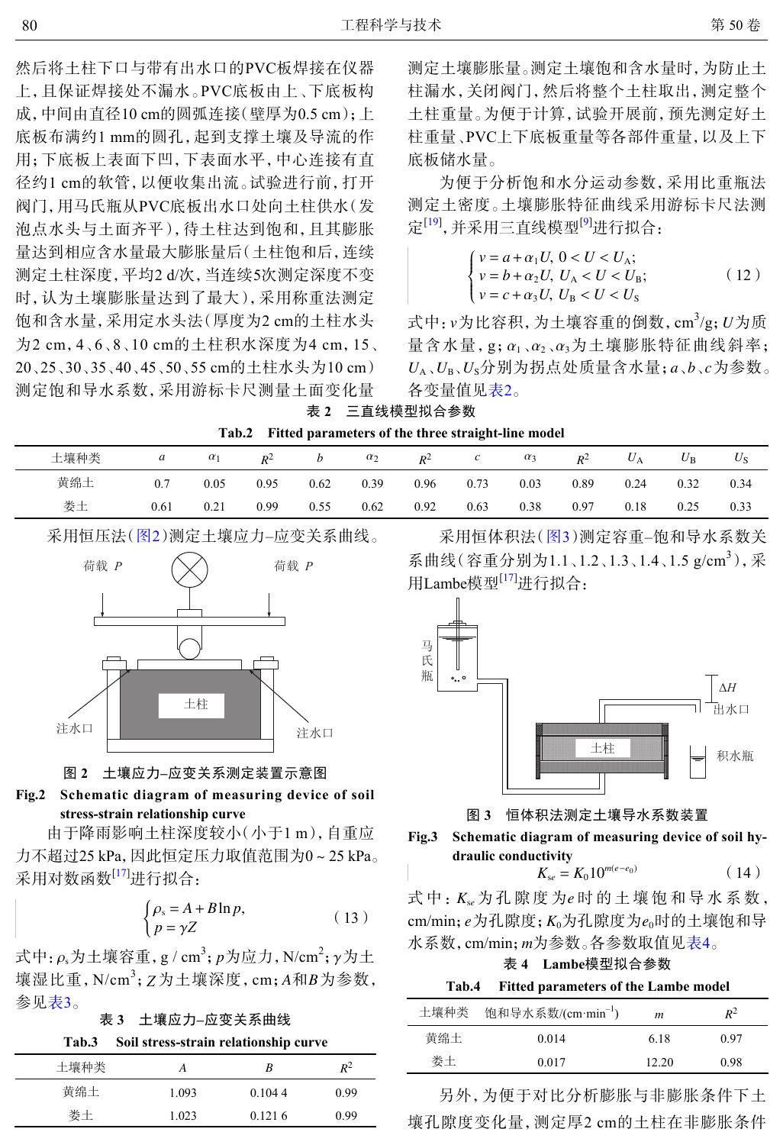然后将土柱下口与带有出水口的PVC板焊接在仪器 上,且保证焊接处不漏水。PVC底板由上、下底板构 成,中间由直径10 cm的圆弧连接(壁厚为0.5 cm): 上 底板布满约1 mm的圆孔,起到支撑土壤及导流的作 用;下底板上表面下凹,下表面水平,中心连接有直 径约1 cm的软管,以便收集出流。试验进行前,打开 阀门,用马氏瓶从PVC底板出水口处向土柱供水(发 泡点水头与土面齐平),待土柱达到饱和,且其膨胀 量达到相应含水量最大膨胀量后(土柱饱和后,连续 测定土柱深度,平均2 d/次,当连续5次测定深度不变 时,认为土壤膨胀量达到了最大),采用称重法测定 饱和含水量,采用定水头法(厚度为2 cm的土柱水头 为2 cm,4、6、8、10 cm的土柱积水深度为4 cm,15、 20、25、30、35、40、45、50、55 cm的土柱水头为10 cm) 测定饱和导水系数,采用游标卡尺测量土面变化量

测定土壤膨胀量。测定土壤饱和含水量时,为防止土 柱漏水,关闭阀门,然后将整个土柱取出,测定整个 土柱重量。为便于计算,试验开展前,预先测定好土 柱重量、PVC上下底板重量等各部件重量,以及上下 底板储水量。

为便于分析饱和水分运动参数,采用比重瓶法 测定土密度。土壤膨胀特征曲线采用游标卡尺法测 定<sup>[[19\]](#page-6-18)</sup>,并采用三直线模型<sup>[[9](#page-6-8)]</sup>进行拟合:

$$
\begin{cases}\nv = a + \alpha_1 U, \ 0 < U < U_A; \\
v = b + \alpha_2 U, \ U_A < U < U_B; \\
v = c + \alpha_3 U, \ U_B < U < U_S\n\end{cases} \tag{12}
$$

式中:  $v$ 为比容积, 为土壤容重的倒数, cm<sup>3</sup>/g;  $U$ 为质 量含水量,g; $\alpha_1$ , $\alpha_2$ , $\alpha_3$ 为土壤膨胀特征曲线斜率;  $U_A$ 、 $U_B$ 、 $U_S$ 分别为拐点处质量含水量;  $a \, \delta \, \mathcal{L}$  *c* 为参数。 各变量值见[表](#page-3-0)[2](#page-3-0)。

<span id="page-3-0"></span>

| 三直线模型拟合参数<br>表 2 |  |
|------------------|--|
|------------------|--|

**Tab.2 Fitted parameters of the three straight-line model**

|      |      |            |       |      |            |       | $\sim$        |            |       |       |             |             |
|------|------|------------|-------|------|------------|-------|---------------|------------|-------|-------|-------------|-------------|
| 土壤种类 | а    | $\alpha_1$ | $R^2$ | b    | $\alpha_2$ | $R^2$ | $\mathcal{C}$ | $\alpha_3$ | $R^2$ | $U_A$ | $U_{\rm B}$ | $U_{\rm S}$ |
| 黄绵土  |      | 0.05       | 0.95  | 0.62 | 0.39       | 0.96  | 0.73          | 0.03       | 0.89  | 0.24  | 0.32        | 0.34        |
| 娄土   | 0.61 | 0.21       | 0.99  | 0.55 | 0.62       | 0.92  | 0.63          | 0.38       | 0.97  | 0.18  | 0.25        | 0.33        |

<span id="page-3-1"></span>采用恒压法([图](#page-3-1)[2](#page-3-1))测定土壤应力–应变关系曲线。



图 **2** 土壤应力**–**应变关系测定装置示意图

## **Fig.2 Schematic diagram of measuring device of soil stress-strain relationship curve**

由于降雨影响土柱深度较小(小于1 m),自重应 力不超过25 kPa,因此恒定压力取值范围为0~25 kPa。 采用对数函数<sup>[\[17](#page-6-16)]</sup>进行拟合:

$$
\begin{cases} \rho_{\rm s} = A + B \ln p, \\ p = \gamma Z \end{cases} \tag{13}
$$

式中: $\rho_{\rm s}$ 为土壤容重,g/cm<sup>3</sup>;p为应力,N/cm<sup>2</sup>; $\gamma$ 为土 壤湿比重,N/cm<sup>3</sup>;Z为土壤深度,cm;A和B为参数, 参见表3。

表 **3** 土壤应力**–**应变关系曲线

**Tab.3 Soil stress-strain relationship curve**

| 土壤种类 |       | R      | $R^2$ |
|------|-------|--------|-------|
| 黄绵土  | 1.093 | 0.1044 | 0.99  |
| 娄土   | 1.023 | 0.1216 | 0.99  |

采用恒体积法([图](#page-3-2)[3](#page-3-2))测定容重–饱和导水系数关 系曲线(容重分别为1.1、1.2、1.3、1.4、1.5 g/cm<sup>3</sup>),采 用Lambe模型<sup>[\[17](#page-6-16)]</sup>进行拟合:

<span id="page-3-2"></span>

图 **3** 恒体积法测定土壤导水系数装置

**Fig.3 Schematic diagram of measuring device of soil hydraulic conductivity**

$$
K_{se} = K_0 10^{m(e-e_0)} \tag{14}
$$

式中:  $K_{se}$ 为孔隙度为e时的土壤饱和导水系数, *e*m/min; *e*为孔隙度; *K*<sub>0</sub>为孔隙度为 e<sub>0</sub>时的土壤饱和导 水系数, cm/min; *m*为参数。各参数取值见表4。

表 **4 Lambe**模型拟合参数

**Tab.4 Fitted parameters of the Lambe model**

|     | 土壤种类 饱和导水系数/(cm·min <sup>-1</sup> ) | m     | $R^2$ |
|-----|-------------------------------------|-------|-------|
| 黄绵土 | 0.014                               | 6.18  | 0.97  |
| 娄土  | 0.017                               | 12.20 | 0.98  |

另外,为便于对比分析膨胀与非膨胀条件下土 壤孔隙度变化量,测定厚2 cm的土柱在非膨胀条件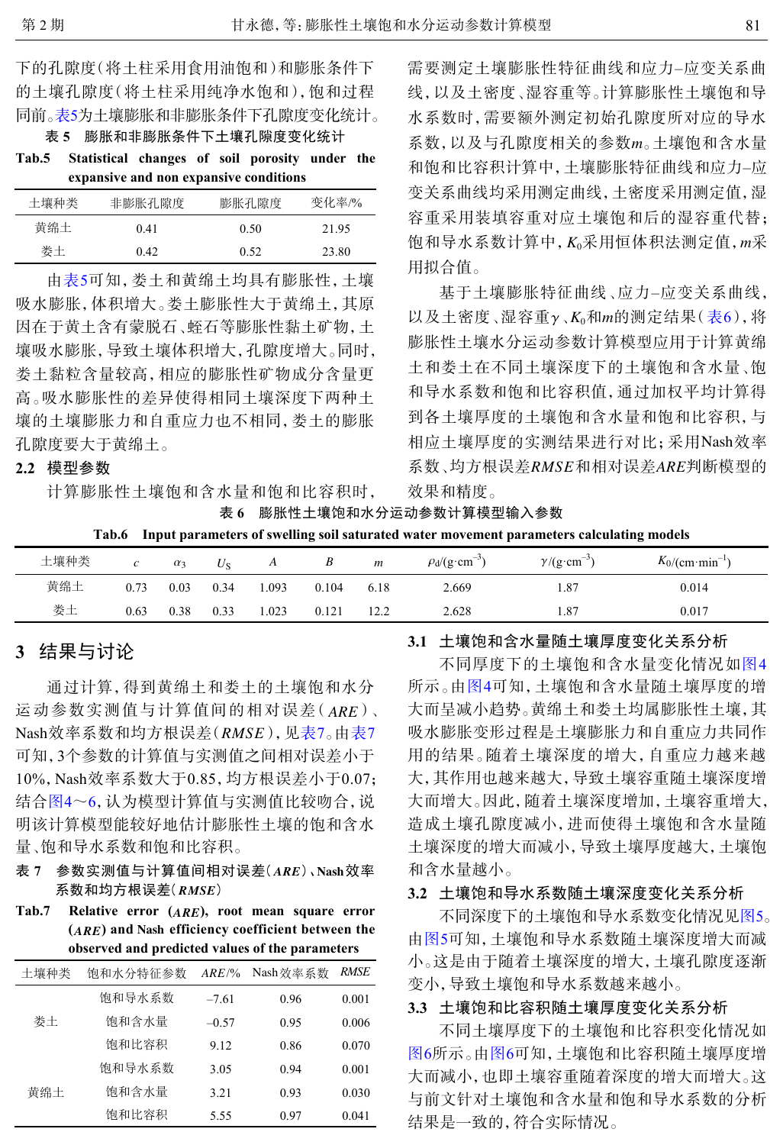下的孔隙度(将土柱采用食用油饱和)和膨胀条件下 的土壤孔隙度(将土柱采用纯净水饱和),饱和过程 同前。表5为土壤膨胀和非膨胀条件下孔隙度变化统计。

表 **5** 膨胀和非膨胀条件下土壤孔隙度变化统计

**Tab.5 Statistical changes of soil porosity under the expansive and non expansive conditions**

| 土壤种类 | 非膨胀孔隙度 | 膨胀孔隙度 | 变化率/% |
|------|--------|-------|-------|
| 黄绵土  | 0.41   | 0.50  | 21.95 |
| 娄土   | 0.42   | 0.52  | 23.80 |

由表5可知,娄土和黄绵土均具有膨胀性,土壤 吸水膨胀,体积增大。娄土膨胀性大于黄绵土,其原 因在于黄土含有蒙脱石、蛭石等膨胀性黏土矿物,土 壤吸水膨胀,导致土壤体积增大,孔隙度增大。同时, 娄土黏粒含量较高,相应的膨胀性矿物成分含量更 高。吸水膨胀性的差异使得相同土壤深度下两种土 壤的土壤膨胀力和自重应力也不相同,娄土的膨胀 孔隙度要大于黄绵土。

#### **2.2** 模型参数

计算膨胀性土壤饱和含水量和饱和比容积时,

系数, 以及与孔隙度相关的参数m。土壤饱和含水量 饱和导水系数计算中, *K*<sub>0</sub>采用恒体积法测定值, *m*采 需要测定土壤膨胀性特征曲线和应力–应变关系曲 线,以及土密度、湿容重等。计算膨胀性土壤饱和导 水系数时,需要额外测定初始孔隙度所对应的导水 和饱和比容积计算中,土壤膨胀特征曲线和应力–应 变关系曲线均采用测定曲线,土密度采用测定值,湿 容重采用装填容重对应土壤饱和后的湿容重代替; 用拟合值。

以及土密度 、湿容重γ 、K<sub>0</sub>和m的测定结果( <del>[表](#page-4-0)[6](#page-4-0)</del> ) , 将 相应土壤厚度的实测结果进行对比;采用Nash效率 系数 、均方根误差*RMSE* 和相对误差*ARE*判断模型的 基于土壤膨胀特征曲线、应力–应变[关系曲](#page-4-0)线, 膨胀性土壤水分运动参数计算模型应用于计算黄绵 土和娄土在不同土壤深度下的土壤饱和含水量、饱 和导水系数和饱和比容积值,通过加权平均计算得 到各土壤厚度的土壤饱和含水量和饱和比容积,与 效果和精度。

<span id="page-4-0"></span>表 **6** 膨胀性土壤饱和水分运动参数计算模型输入参数

**Tab.6 Input parameters of swelling soil saturated water movement parameters calculating models**

| 土壤种类 |      | $\alpha_3$ | $U_{\rm S}$ | A    |       | $\boldsymbol{m}$ | $\rho_d$ /(g·cm <sup>-3</sup> ) | -<br>$\gamma$ /(g·cm | $K_0/(\text{cm}\cdot\text{min}^{-1})$ |
|------|------|------------|-------------|------|-------|------------------|---------------------------------|----------------------|---------------------------------------|
| 黄绵土  | 0.73 | 0.03       | 0.34        | .093 | 0.104 | 6.18             | 2.669                           | 1.87                 | 0.014                                 |
| 娄土   | 0.63 | 0.38       | 0.33        | .023 | 0.121 | 12.2             | 2.628                           | 1.87                 | 0.017                                 |

# **3** 结果与讨论

运动参数实测值与计算值间的相对误差(ARE)、 Nash效率系数和均方根误差(*RMSE*),见表7。由表7 10%, Nash效率系数大于0.85, 均方根误差小于0.07; 通过计算,得到黄绵土和娄土的土壤饱和水分 可知,3个参数的计算值与实测值之间相对误差小于 结合[图](#page-5-0)[4](#page-5-0)~[6](#page-5-1),认为模型计算值与实测值比较吻合,说 明该计算模型能较好地估计膨胀性土壤的饱和含水 量、饱和导水系数和饱和比容积。

- 表? 参数实测值与计算值间相对误差(*ARE*)、Nash效率 系数和均方根误差( *RMSE* )
- *ARE* **Tab.7 Relative error ( ), root mean square error**  $(ARE)$  and Nash efficiency coefficient between the **observed and predicted values of the parameters**

| 土壤种类 | 饱和水分特征参数 | $ARE\%$ | Nash效率系数 | RMSE  |
|------|----------|---------|----------|-------|
| 娄土   | 饱和导水系数   | $-761$  | 0.96     | 0.001 |
|      | 饱和含水量    | $-0.57$ | 0.95     | 0.006 |
|      | 饱和比容积    | 9.12    | 0.86     | 0.070 |
|      | 饱和导水系数   | 3.05    | 0.94     | 0.001 |
| 黄绵土  | 饱和含水量    | 3.21    | 0.93     | 0.030 |
|      | 饱和比容积    | 5.55    | 0.97     | 0.041 |

**3.1** 土壤饱和含水量随土壤厚度变化关系分析

不同厚度下的土壤饱和含水量变化情况如[图](#page-5-0)[4](#page-5-0) 所示。由[图](#page-5-0)[4](#page-5-0)可知,土壤饱和含水量随土壤厚度的增 大而呈减小趋势。黄绵土和娄土均属膨胀性土壤,其 吸水膨胀变形过程是土壤膨胀力和自重应力共同作 用的结果。随着土壤深度的增大,自重应力越来越 大,其作用也越来越大,导致土壤容重随土壤深度增 大而增大。因此,随着土壤深度增加,土壤容重增大, 造成土壤孔隙度减小,进而使得土壤饱和含水量随 土壤深度的增大而减小,导致土壤厚度越大,土壤饱 和含水量越小。

#### **3.2** 土壤饱和导水系数随土壤深度变化关系分析

不同深度下的土壤饱和导水系数变化情况[见图](#page-5-2)[5](#page-5-2)。 由[图](#page-5-2)[5](#page-5-2)可知,土壤饱和导水系数随土壤深度增大而减 小。这是由于随着土壤深度的增大,土壤孔隙度逐渐 变小,导致土壤饱和导水系数越来越小。

#### **3.3** 土壤饱和比容积随土壤厚度变化关系分析

不同土壤厚度下的土壤饱和比容积变化情况如 [图](#page-5-1)[6](#page-5-1)所示。由[图](#page-5-1)[6](#page-5-1)可知,土壤饱和比容积随土壤厚度增 大而减小,也即土壤容重随着深度的增大而增大。这 与前文针对土壤饱和含水量和饱和导水系数的分析 结果是一致的,符合实际情况。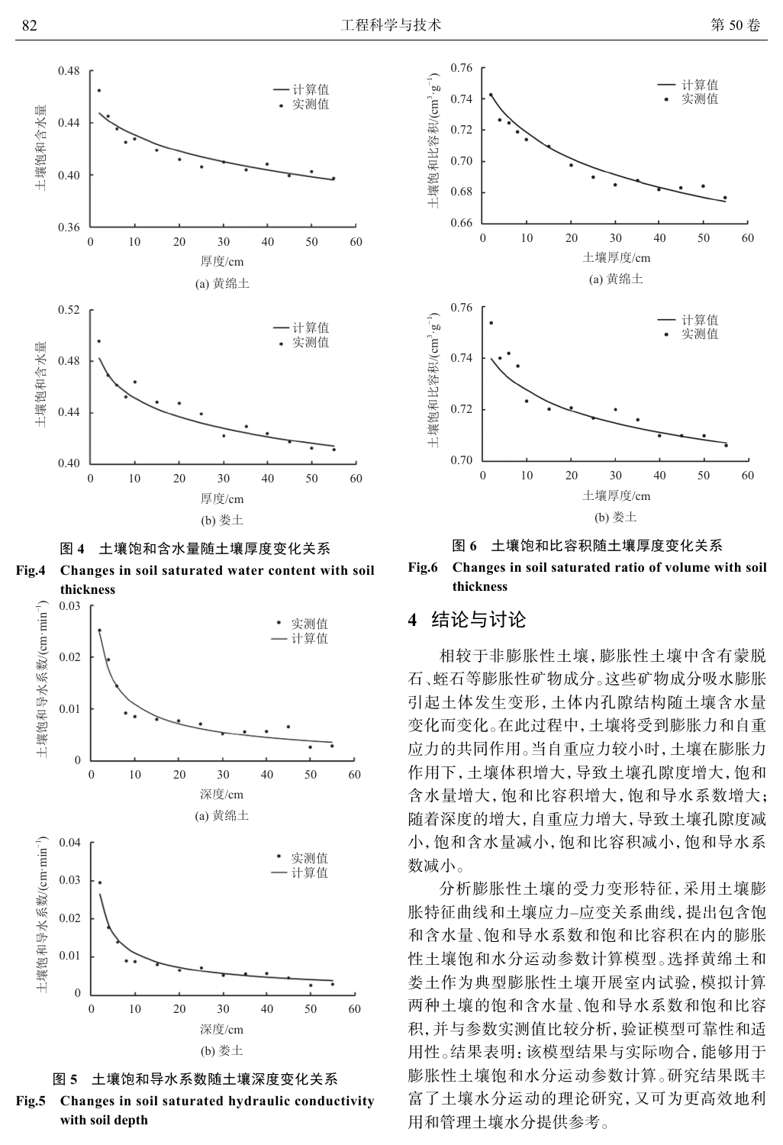<span id="page-5-0"></span>





<span id="page-5-2"></span>



**Fig.5 Changes in soil saturated hydraulic conductivity with soil depth**

<span id="page-5-1"></span>

图 **6** 土壤饱和比容积随土壤厚度变化关系

**Fig.6 Changes in soil saturated ratio of volume with soil thickness**

# **4** 结论与讨论

相较于非膨胀性土壤,膨胀性土壤中含有蒙脱 石、蛭石等膨胀性矿物成分。这些矿物成分吸水膨胀 引起土体发生变形,土体内孔隙结构随土壤含水量 变化而变化。在此过程中,土壤将受到膨胀力和自重 应力的共同作用。当自重应力较小时,土壤在膨胀力 作用下,土壤体积增大,导致土壤孔隙度增大,饱和 含水量增大,饱和比容积增大,饱和导水系数增大; 随着深度的增大,自重应力增大,导致土壤孔隙度减 小,饱和含水量减小,饱和比容积减小,饱和导水系 数减小。

分析膨胀性土壤的受力变形特征,采用土壤膨 胀特征曲线和土壤应力–应变关系曲线,提出包含饱 和含水量、饱和导水系数和饱和比容积在内的膨胀 性土壤饱和水分运动参数计算模型。选择黄绵土和 娄土作为典型膨胀性土壤开展室内试验,模拟计算 两种土壤的饱和含水量、饱和导水系数和饱和比容 积,并与参数实测值比较分析,验证模型可靠性和适 用性。结果表明:该模型结果与实际吻合,能够用于 膨胀性土壤饱和水分运动参数计算。研究结果既丰 富了土壤水分运动的理论研究,又可为更高效地利 用和管理土壤水分提供参考。